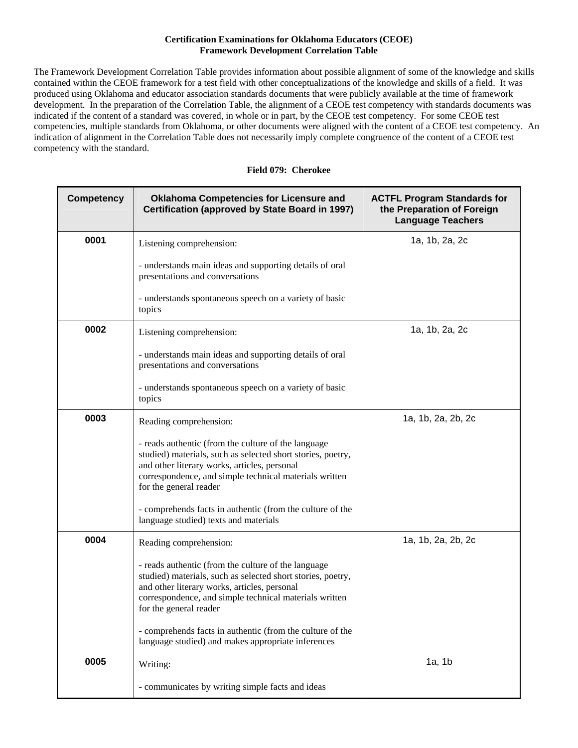## **Certification Examinations for Oklahoma Educators (CEOE) Framework Development Correlation Table**

The Framework Development Correlation Table provides information about possible alignment of some of the knowledge and skills contained within the CEOE framework for a test field with other conceptualizations of the knowledge and skills of a field. It was produced using Oklahoma and educator association standards documents that were publicly available at the time of framework development. In the preparation of the Correlation Table, the alignment of a CEOE test competency with standards documents was indicated if the content of a standard was covered, in whole or in part, by the CEOE test competency. For some CEOE test competencies, multiple standards from Oklahoma, or other documents were aligned with the content of a CEOE test competency. An indication of alignment in the Correlation Table does not necessarily imply complete congruence of the content of a CEOE test competency with the standard.

|  | Field 079: Cherokee |
|--|---------------------|
|  |                     |

| <b>Competency</b> | <b>Oklahoma Competencies for Licensure and</b><br>Certification (approved by State Board in 1997)                                                                                                                                                      | <b>ACTFL Program Standards for</b><br>the Preparation of Foreign<br><b>Language Teachers</b> |
|-------------------|--------------------------------------------------------------------------------------------------------------------------------------------------------------------------------------------------------------------------------------------------------|----------------------------------------------------------------------------------------------|
| 0001              | Listening comprehension:                                                                                                                                                                                                                               | 1a, 1b, 2a, 2c                                                                               |
|                   | - understands main ideas and supporting details of oral<br>presentations and conversations                                                                                                                                                             |                                                                                              |
|                   | - understands spontaneous speech on a variety of basic<br>topics                                                                                                                                                                                       |                                                                                              |
| 0002              | Listening comprehension:                                                                                                                                                                                                                               | 1a, 1b, 2a, 2c                                                                               |
|                   | - understands main ideas and supporting details of oral<br>presentations and conversations                                                                                                                                                             |                                                                                              |
|                   | - understands spontaneous speech on a variety of basic<br>topics                                                                                                                                                                                       |                                                                                              |
| 0003              | Reading comprehension:                                                                                                                                                                                                                                 | 1a, 1b, 2a, 2b, 2c                                                                           |
|                   | - reads authentic (from the culture of the language<br>studied) materials, such as selected short stories, poetry,<br>and other literary works, articles, personal<br>correspondence, and simple technical materials written<br>for the general reader |                                                                                              |
|                   | - comprehends facts in authentic (from the culture of the<br>language studied) texts and materials                                                                                                                                                     |                                                                                              |
| 0004              | Reading comprehension:                                                                                                                                                                                                                                 | 1a, 1b, 2a, 2b, 2c                                                                           |
|                   | - reads authentic (from the culture of the language<br>studied) materials, such as selected short stories, poetry,<br>and other literary works, articles, personal<br>correspondence, and simple technical materials written<br>for the general reader |                                                                                              |
|                   | - comprehends facts in authentic (from the culture of the<br>language studied) and makes appropriate inferences                                                                                                                                        |                                                                                              |
| 0005              | Writing:                                                                                                                                                                                                                                               | 1a, 1b                                                                                       |
|                   | - communicates by writing simple facts and ideas                                                                                                                                                                                                       |                                                                                              |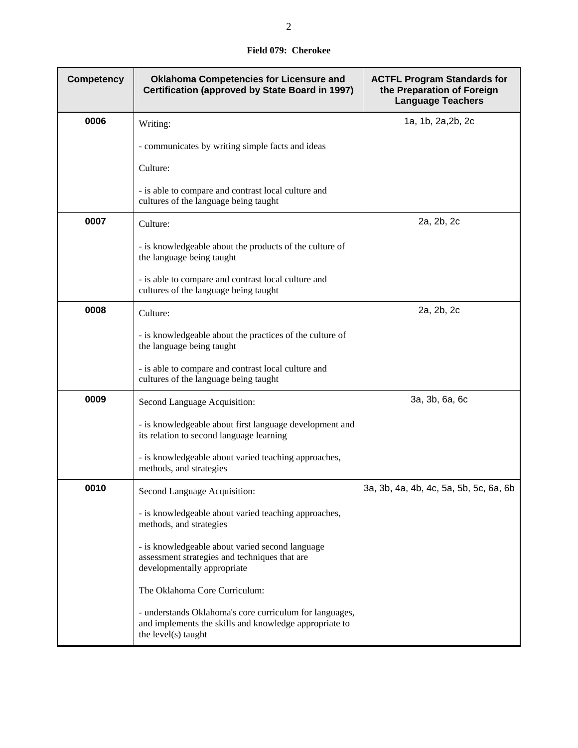## **Field 079: Cherokee**

| <b>Competency</b> | <b>Oklahoma Competencies for Licensure and</b><br>Certification (approved by State Board in 1997)                                        | <b>ACTFL Program Standards for</b><br>the Preparation of Foreign<br><b>Language Teachers</b> |
|-------------------|------------------------------------------------------------------------------------------------------------------------------------------|----------------------------------------------------------------------------------------------|
| 0006              | Writing:                                                                                                                                 | 1a, 1b, 2a, 2b, 2c                                                                           |
|                   | - communicates by writing simple facts and ideas                                                                                         |                                                                                              |
|                   | Culture:                                                                                                                                 |                                                                                              |
|                   | - is able to compare and contrast local culture and<br>cultures of the language being taught                                             |                                                                                              |
| 0007              | Culture:                                                                                                                                 | 2a, 2b, 2c                                                                                   |
|                   | - is knowledgeable about the products of the culture of<br>the language being taught                                                     |                                                                                              |
|                   | - is able to compare and contrast local culture and<br>cultures of the language being taught                                             |                                                                                              |
| 0008              | Culture:                                                                                                                                 | 2a, 2b, 2c                                                                                   |
|                   | - is knowledgeable about the practices of the culture of<br>the language being taught                                                    |                                                                                              |
|                   | - is able to compare and contrast local culture and<br>cultures of the language being taught                                             |                                                                                              |
| 0009              | Second Language Acquisition:                                                                                                             | 3a, 3b, 6a, 6c                                                                               |
|                   | - is knowledgeable about first language development and<br>its relation to second language learning                                      |                                                                                              |
|                   | - is knowledgeable about varied teaching approaches,<br>methods, and strategies                                                          |                                                                                              |
| 0010              | Second Language Acquisition:                                                                                                             | 3a, 3b, 4a, 4b, 4c, 5a, 5b, 5c, 6a, 6b                                                       |
|                   | - is knowledgeable about varied teaching approaches,<br>methods, and strategies                                                          |                                                                                              |
|                   | - is knowledgeable about varied second language<br>assessment strategies and techniques that are<br>developmentally appropriate          |                                                                                              |
|                   | The Oklahoma Core Curriculum:                                                                                                            |                                                                                              |
|                   | - understands Oklahoma's core curriculum for languages,<br>and implements the skills and knowledge appropriate to<br>the level(s) taught |                                                                                              |